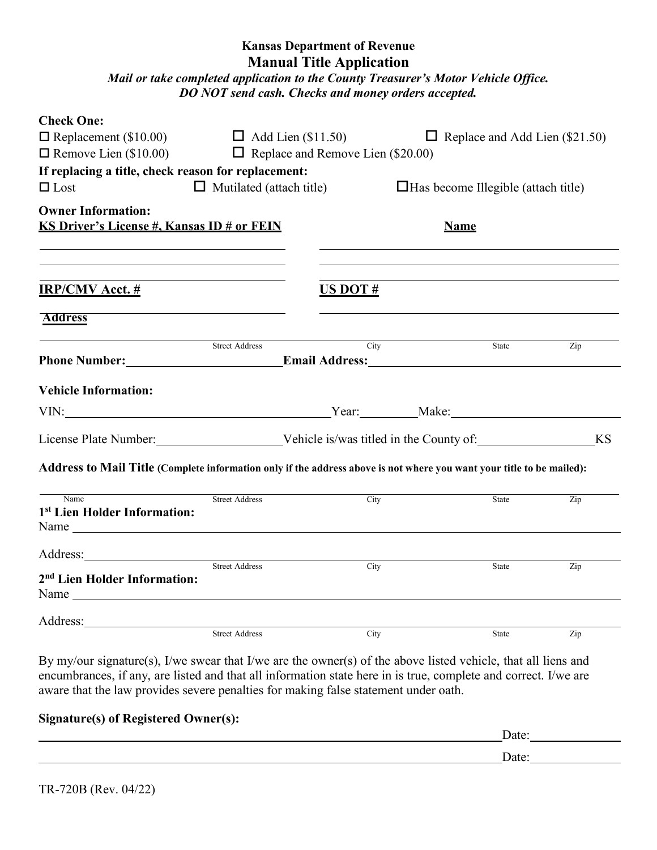## **Kansas Department of Revenue Manual Title Application**

*Mail or take completed application to the County Treasurer's Motor Vehicle Office. DO NOT send cash. Checks and money orders accepted.* 

| <b>Check One:</b>                                                                                                                                                                                                              |                                 |                                          |      |                                            |              |                                       |  |
|--------------------------------------------------------------------------------------------------------------------------------------------------------------------------------------------------------------------------------|---------------------------------|------------------------------------------|------|--------------------------------------------|--------------|---------------------------------------|--|
| $\Box$ Replacement (\$10.00)                                                                                                                                                                                                   |                                 | $\Box$ Add Lien (\$11.50)                |      |                                            |              | $\Box$ Replace and Add Lien (\$21.50) |  |
| $\Box$ Remove Lien (\$10.00)                                                                                                                                                                                                   |                                 | $\Box$ Replace and Remove Lien (\$20.00) |      |                                            |              |                                       |  |
| If replacing a title, check reason for replacement:                                                                                                                                                                            |                                 |                                          |      |                                            |              |                                       |  |
| $\Box$ Lost                                                                                                                                                                                                                    | $\Box$ Mutilated (attach title) |                                          |      | $\Box$ Has become Illegible (attach title) |              |                                       |  |
| <b>Owner Information:</b>                                                                                                                                                                                                      |                                 |                                          |      |                                            |              |                                       |  |
| KS Driver's License #, Kansas ID # or FEIN                                                                                                                                                                                     | <b>Name</b>                     |                                          |      |                                            |              |                                       |  |
|                                                                                                                                                                                                                                |                                 |                                          |      |                                            |              |                                       |  |
|                                                                                                                                                                                                                                |                                 |                                          |      |                                            |              |                                       |  |
|                                                                                                                                                                                                                                |                                 |                                          |      |                                            |              |                                       |  |
| <b>IRP/CMV Acct.</b> #                                                                                                                                                                                                         |                                 | US DOT $#$                               |      |                                            |              |                                       |  |
| <b>Address</b>                                                                                                                                                                                                                 |                                 |                                          |      |                                            |              |                                       |  |
|                                                                                                                                                                                                                                |                                 |                                          |      |                                            |              |                                       |  |
| Phone Number: Email Address: Email Address:                                                                                                                                                                                    | <b>Street Address</b>           |                                          | City |                                            | State        | Zip                                   |  |
|                                                                                                                                                                                                                                |                                 |                                          |      |                                            |              |                                       |  |
| <b>Vehicle Information:</b>                                                                                                                                                                                                    |                                 |                                          |      |                                            |              |                                       |  |
| VIN: Make: Make: Make: Make: Make: Make: Make: Make: Make: Make: Make: Make: Make: Make: Make: Make: Make: Make: Make: Make: Make: Make: Make: Make: Make: Make: Make: Make: Make: Make: Make: Make: Make: Make: Make: Make: M |                                 |                                          |      |                                            |              |                                       |  |
|                                                                                                                                                                                                                                |                                 |                                          |      |                                            |              |                                       |  |
|                                                                                                                                                                                                                                |                                 |                                          |      |                                            |              |                                       |  |
| Address to Mail Title (Complete information only if the address above is not where you want your title to be mailed):                                                                                                          |                                 |                                          |      |                                            |              |                                       |  |
|                                                                                                                                                                                                                                |                                 |                                          |      |                                            |              |                                       |  |
| Name                                                                                                                                                                                                                           | <b>Street Address</b>           |                                          | City |                                            | State        | Zip                                   |  |
| 1st Lien Holder Information:                                                                                                                                                                                                   |                                 |                                          |      |                                            |              |                                       |  |
|                                                                                                                                                                                                                                |                                 |                                          |      |                                            |              |                                       |  |
|                                                                                                                                                                                                                                |                                 |                                          |      |                                            |              |                                       |  |
| 2 <sup>nd</sup> Lien Holder Information:                                                                                                                                                                                       | <b>Street Address</b>           |                                          | City |                                            | State        | Zip                                   |  |
|                                                                                                                                                                                                                                |                                 |                                          |      |                                            |              |                                       |  |
|                                                                                                                                                                                                                                |                                 |                                          |      |                                            |              |                                       |  |
|                                                                                                                                                                                                                                |                                 |                                          |      |                                            |              |                                       |  |
|                                                                                                                                                                                                                                | <b>Street Address</b>           |                                          | City |                                            | <b>State</b> | Zip                                   |  |

By my/our signature(s), I/we swear that I/we are the owner(s) of the above listed vehicle, that all liens and encumbrances, if any, are listed and that all information state here in is true, complete and correct. I/we are aware that the law provides severe penalties for making false statement under oath.

## **Signature(s) of Registered Owner(s):**

| $\mathbf{D}_{\mathbf{a}}$ |
|---------------------------|
| `\∩t.<br>uu.              |
|                           |